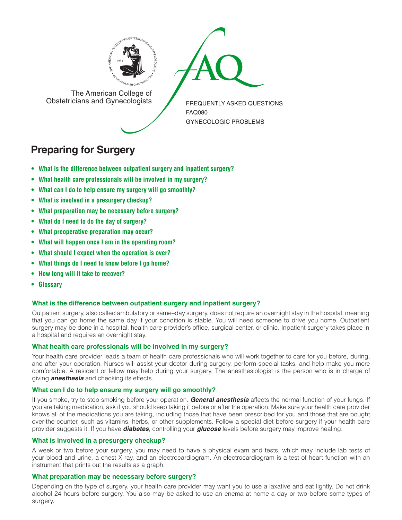



The American College of<br>Obstetricians and Gynecologists

FREQUENTLY ASKED QUESTIONS FAQ080 GYNECOLOGIC PROBLEMS

# **Preparing for Surgery**

- **• What is the difference between [outpatient](#page-0-0) surgery and inpatient surgery?**
- **• What health care [professionals](#page-0-1) will be involved in my surgery?**
- **• What can I do to help ensure my surgery will go [smoothly?](#page-0-2)**
- **• What is involved in a [presurgery](#page-0-3) checkup?**
- **• What [preparation](#page-0-4) may be necessary before surgery?**
- **• What do I need to do the day of [surgery?](#page-1-0)**
- **• What [preoperative](#page-1-1) preparation may occur?**
- **• What will happen once I am in the [operating](#page-1-2) room?**
- **• What should I expect when the [operation](#page-1-3) is over?**
- **[• What](#page-1-4) things do I need to know before I go home?**
- **• How long will it take to [recover?](#page-1-5)**
- **[• Glossary](#page-1-6)**

# <span id="page-0-0"></span>**What is the difference between outpatient surgery and inpatient surgery?**

Outpatient surgery, also called ambulatory or same–day surgery, does not require an overnight stay in the hospital, meaning that you can go home the same day if your condition is stable. You will need someone to drive you home. Outpatient surgery may be done in a hospital, health care provider's office, surgical center, or clinic. Inpatient surgery takes place in a hospital and requires an overnight stay.

# <span id="page-0-1"></span>**What health care professionals will be involved in my surgery?**

Your health care provider leads a team of health care professionals who will work together to care for you before, during, and after your operation. Nurses will assist your doctor during surgery, perform special tasks, and help make you more comfortable. A resident or fellow may help during your surgery. The anesthesiologist is the person who is in charge of giving *anesthesia* and checking its effects.

# <span id="page-0-2"></span>**What can I do to help ensure my surgery will go smoothly?**

If you smoke, try to stop smoking before your operation. *General anesthesia* affects the normal function of your lungs. If you are taking medication, ask if you should keep taking it before or after the operation. Make sure your health care provider knows all of the medications you are taking, including those that have been prescribed for you and those that are bought over-the-counter, such as vitamins, herbs, or other supplements. Follow a special diet before surgery if your health care provider suggests it. If you have *diabetes*, controlling your *glucose* levels before surgery may improve healing.

# <span id="page-0-3"></span>**What is involved in a presurgery checkup?**

A week or two before your surgery, you may need to have a physical exam and tests, which may include lab tests of your blood and urine, a chest X-ray, and an electrocardiogram. An electrocardiogram is a test of heart function with an instrument that prints out the results as a graph.

# <span id="page-0-4"></span>**What preparation may be necessary before surgery?**

Depending on the type of surgery, your health care provider may want you to use a laxative and eat lightly. Do not drink alcohol 24 hours before surgery. You also may be asked to use an enema at home a day or two before some types of surgery.